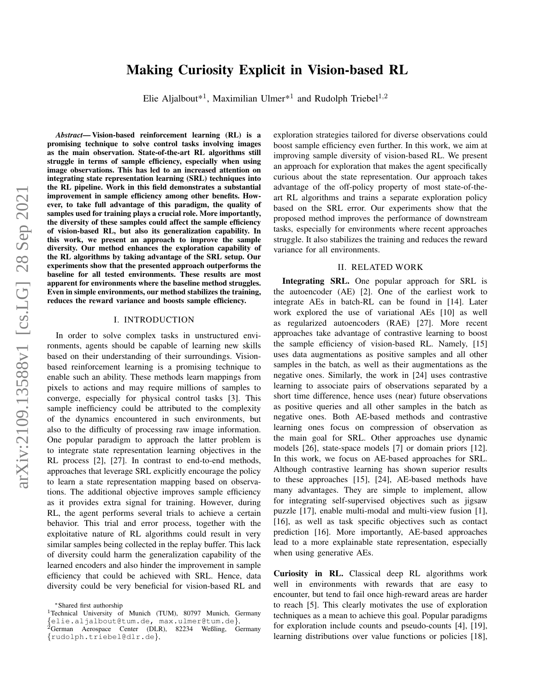# arXiv:2109.13588v1 [cs.LG] 28 Sep 2021 arXiv:2109.13588v1 [cs.LG] 28 Sep 2021

# Making Curiosity Explicit in Vision-based RL

Elie Aljalbout\*<sup>1</sup>, Maximilian Ulmer\*<sup>1</sup> and Rudolph Triebel<sup>1,2</sup>

*Abstract*— Vision-based reinforcement learning (RL) is a promising technique to solve control tasks involving images as the main observation. State-of-the-art RL algorithms still struggle in terms of sample efficiency, especially when using image observations. This has led to an increased attention on integrating state representation learning (SRL) techniques into the RL pipeline. Work in this field demonstrates a substantial improvement in sample efficiency among other benefits. However, to take full advantage of this paradigm, the quality of samples used for training plays a crucial role. More importantly, the diversity of these samples could affect the sample efficiency of vision-based RL, but also its generalization capability. In this work, we present an approach to improve the sample diversity. Our method enhances the exploration capability of the RL algorithms by taking advantage of the SRL setup. Our experiments show that the presented approach outperforms the baseline for all tested environments. These results are most apparent for environments where the baseline method struggles. Even in simple environments, our method stabilizes the training, reduces the reward variance and boosts sample efficiency.

### I. INTRODUCTION

In order to solve complex tasks in unstructured environments, agents should be capable of learning new skills based on their understanding of their surroundings. Visionbased reinforcement learning is a promising technique to enable such an ability. These methods learn mappings from pixels to actions and may require millions of samples to converge, especially for physical control tasks [3]. This sample inefficiency could be attributed to the complexity of the dynamics encountered in such environments, but also to the difficulty of processing raw image information. One popular paradigm to approach the latter problem is to integrate state representation learning objectives in the RL process [2], [27]. In contrast to end-to-end methods, approaches that leverage SRL explicitly encourage the policy to learn a state representation mapping based on observations. The additional objective improves sample efficiency as it provides extra signal for training. However, during RL, the agent performs several trials to achieve a certain behavior. This trial and error process, together with the exploitative nature of RL algorithms could result in very similar samples being collected in the replay buffer. This lack of diversity could harm the generalization capability of the learned encoders and also hinder the improvement in sample efficiency that could be achieved with SRL. Hence, data diversity could be very beneficial for vision-based RL and

<sup>∗</sup>Shared first authorship

exploration strategies tailored for diverse observations could boost sample efficiency even further. In this work, we aim at improving sample diversity of vision-based RL. We present an approach for exploration that makes the agent specifically curious about the state representation. Our approach takes advantage of the off-policy property of most state-of-theart RL algorithms and trains a separate exploration policy based on the SRL error. Our experiments show that the proposed method improves the performance of downstream tasks, especially for environments where recent approaches struggle. It also stabilizes the training and reduces the reward variance for all environments.

### II. RELATED WORK

<span id="page-0-0"></span>Integrating SRL. One popular approach for SRL is the autoencoder (AE) [2]. One of the earliest work to integrate AEs in batch-RL can be found in [14]. Later work explored the use of variational AEs [10] as well as regularized autoencoders (RAE) [27]. More recent approaches take advantage of contrastive learning to boost the sample efficiency of vision-based RL. Namely, [15] uses data augmentations as positive samples and all other samples in the batch, as well as their augmentations as the negative ones. Similarly, the work in [24] uses contrastive learning to associate pairs of observations separated by a short time difference, hence uses (near) future observations as positive queries and all other samples in the batch as negative ones. Both AE-based methods and contrastive learning ones focus on compression of observation as the main goal for SRL. Other approaches use dynamic models [26], state-space models [7] or domain priors [12]. In this work, we focus on AE-based approaches for SRL. Although contrastive learning has shown superior results to these approaches [15], [24], AE-based methods have many advantages. They are simple to implement, allow for integrating self-supervised objectives such as jigsaw puzzle [17], enable multi-modal and multi-view fusion [1], [16], as well as task specific objectives such as contact prediction [16]. More importantly, AE-based approaches lead to a more explainable state representation, especially when using generative AEs.

Curiosity in RL. Classical deep RL algorithms work well in environments with rewards that are easy to encounter, but tend to fail once high-reward areas are harder to reach [5]. This clearly motivates the use of exploration techniques as a mean to achieve this goal. Popular paradigms for exploration include counts and pseudo-counts [4], [19], learning distributions over value functions or policies [18],

<sup>&</sup>lt;sup>1</sup>Technical University of Munich (TUM), 80797 Munich, Germany {elie.aljalbout@tum.de, max.ulmer@tum.de}, <sup>2</sup>German Aerospace Center (DLR), 82234 Weßling, Germany {rudolph.triebel@dlr.de},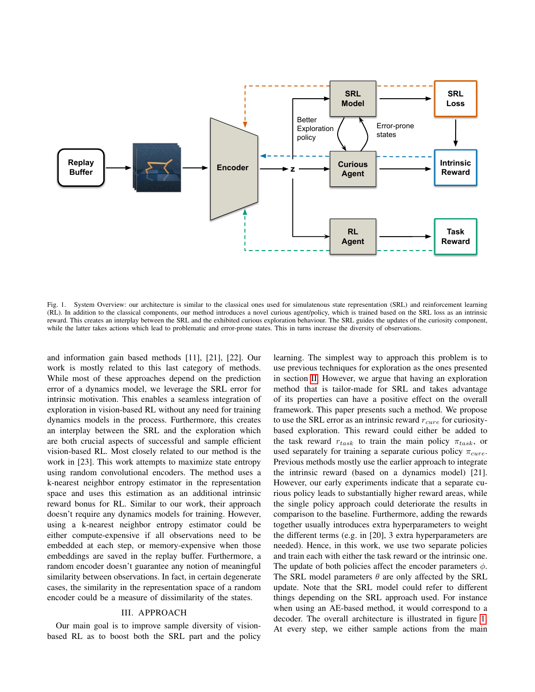

<span id="page-1-0"></span>Fig. 1. System Overview: our architecture is similar to the classical ones used for simulatenous state representation (SRL) and reinforcement learning (RL). In addition to the classical components, our method introduces a novel curious agent/policy, which is trained based on the SRL loss as an intrinsic reward. This creates an interplay between the SRL and the exhibited curious exploration behaviour. The SRL guides the updates of the curiosity component, while the latter takes actions which lead to problematic and error-prone states. This in turns increase the diversity of observations.

and information gain based methods [11], [21], [22]. Our work is mostly related to this last category of methods. While most of these approaches depend on the prediction error of a dynamics model, we leverage the SRL error for intrinsic motivation. This enables a seamless integration of exploration in vision-based RL without any need for training dynamics models in the process. Furthermore, this creates an interplay between the SRL and the exploration which are both crucial aspects of successful and sample efficient vision-based RL. Most closely related to our method is the work in [23]. This work attempts to maximize state entropy using random convolutional encoders. The method uses a k-nearest neighbor entropy estimator in the representation space and uses this estimation as an additional intrinsic reward bonus for RL. Similar to our work, their approach doesn't require any dynamics models for training. However, using a k-nearest neighbor entropy estimator could be either compute-expensive if all observations need to be embedded at each step, or memory-expensive when those embeddings are saved in the replay buffer. Furthermore, a random encoder doesn't guarantee any notion of meaningful similarity between observations. In fact, in certain degenerate cases, the similarity in the representation space of a random encoder could be a measure of dissimilarity of the states.

# III. APPROACH

Our main goal is to improve sample diversity of visionbased RL as to boost both the SRL part and the policy learning. The simplest way to approach this problem is to use previous techniques for exploration as the ones presented in section [II.](#page-0-0) However, we argue that having an exploration method that is tailor-made for SRL and takes advantage of its properties can have a positive effect on the overall framework. This paper presents such a method. We propose to use the SRL error as an intrinsic reward  $r_{cure}$  for curiositybased exploration. This reward could either be added to the task reward  $r_{task}$  to train the main policy  $\pi_{task}$ , or used separately for training a separate curious policy  $\pi_{curve}$ . Previous methods mostly use the earlier approach to integrate the intrinsic reward (based on a dynamics model) [21]. However, our early experiments indicate that a separate curious policy leads to substantially higher reward areas, while the single policy approach could deteriorate the results in comparison to the baseline. Furthermore, adding the rewards together usually introduces extra hyperparameters to weight the different terms (e.g. in [20], 3 extra hyperparameters are needed). Hence, in this work, we use two separate policies and train each with either the task reward or the intrinsic one. The update of both policies affect the encoder parameters  $\phi$ . The SRL model parameters  $\theta$  are only affected by the SRL update. Note that the SRL model could refer to different things depending on the SRL approach used. For instance when using an AE-based method, it would correspond to a decoder. The overall architecture is illustrated in figure [1.](#page-1-0) At every step, we either sample actions from the main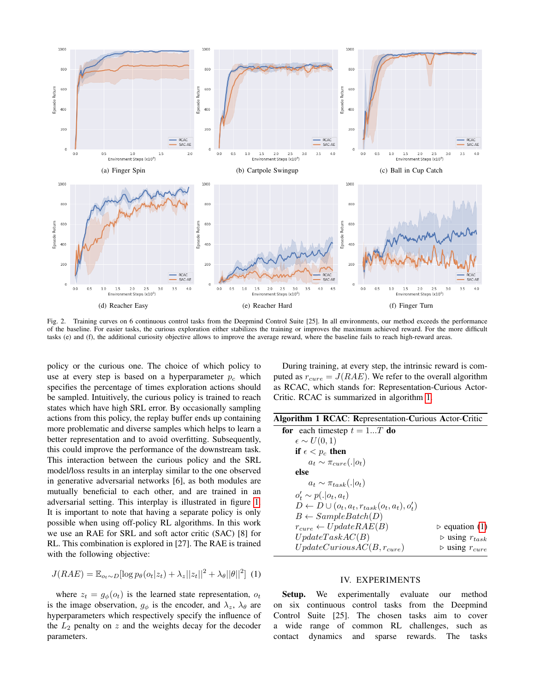

<span id="page-2-2"></span>Fig. 2. Training curves on 6 continuous control tasks from the Deepmind Control Suite [25]. In all environments, our method exceeds the performance of the baseline. For easier tasks, the curious exploration either stabilizes the training or improves the maximum achieved reward. For the more difficult tasks (e) and (f), the additional curiosity objective allows to improve the average reward, where the baseline fails to reach high-reward areas.

policy or the curious one. The choice of which policy to use at every step is based on a hyperparameter  $p_c$  which specifies the percentage of times exploration actions should be sampled. Intuitively, the curious policy is trained to reach states which have high SRL error. By occasionally sampling actions from this policy, the replay buffer ends up containing more problematic and diverse samples which helps to learn a better representation and to avoid overfitting. Subsequently, this could improve the performance of the downstream task. This interaction between the curious policy and the SRL model/loss results in an interplay similar to the one observed in generative adversarial networks [6], as both modules are mutually beneficial to each other, and are trained in an adversarial setting. This interplay is illustrated in figure [1.](#page-1-0) It is important to note that having a separate policy is only possible when using off-policy RL algorithms. In this work we use an RAE for SRL and soft actor critic (SAC) [8] for RL. This combination is explored in [27]. The RAE is trained with the following objective:

<span id="page-2-1"></span>
$$
J(RAE) = \mathbb{E}_{o_t \sim D}[\log p_\theta(o_t|z_t) + \lambda_z ||z_t||^2 + \lambda_\theta ||\theta||^2]
$$
 (1)

where  $z_t = g_{\phi}(o_t)$  is the learned state representation,  $o_t$ is the image observation,  $g_{\phi}$  is the encoder, and  $\lambda_z$ ,  $\lambda_{\theta}$  are hyperparameters which respectively specify the influence of the  $L_2$  penalty on  $z$  and the weights decay for the decoder parameters.

During training, at every step, the intrinsic reward is computed as  $r_{cure} = J(RAE)$ . We refer to the overall algorithm as RCAC, which stands for: Representation-Curious Actor-Critic. RCAC is summarized in algorithm [1.](#page-2-0)

<span id="page-2-0"></span>

|  |  | Algorithm 1 RCAC: Representation-Curious Actor-Critic |  |  |
|--|--|-------------------------------------------------------|--|--|
|--|--|-------------------------------------------------------|--|--|

| for each timestep $t = 1T$ do                              |                                    |
|------------------------------------------------------------|------------------------------------|
| $\epsilon \sim U(0,1)$                                     |                                    |
| if $\epsilon < p_c$ then                                   |                                    |
| $a_t \sim \pi_{cure}(. o_t)$                               |                                    |
| else                                                       |                                    |
| $a_t \sim \pi_{task}(. o_t)$                               |                                    |
| $o'_t \sim p(. o_t, a_t)$                                  |                                    |
| $D \leftarrow D \cup (o_t, a_t, r_{task}(o_t, a_t), o'_t)$ |                                    |
| $B \leftarrow SampleBatch(D)$                              |                                    |
| $r_{cure} \leftarrow UpdateRAE(B)$                         | $\triangleright$ equation (1)      |
| UpdateTaskAC(B)                                            | $\triangleright$ using $r_{task}$  |
| $UpdateCurious AC(B, r_{cure})$                            | $\triangleright$ using $r_{curve}$ |

# IV. EXPERIMENTS

Setup. We experimentally evaluate our method on six continuous control tasks from the Deepmind Control Suite [25]. The chosen tasks aim to cover a wide range of common RL challenges, such as contact dynamics and sparse rewards. The tasks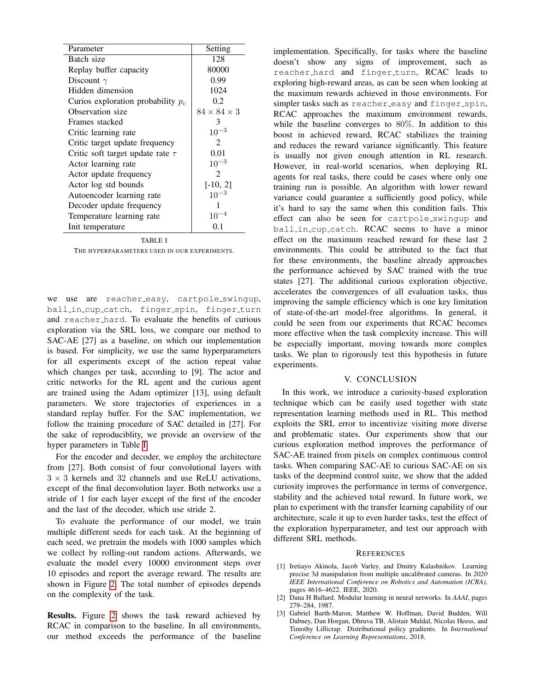| Parameter                             | Setting                     |
|---------------------------------------|-----------------------------|
| Batch size                            | 128                         |
| Replay buffer capacity                | 80000                       |
| Discount $\gamma$                     | 0.99                        |
| Hidden dimension                      | 1024                        |
| Curios exploration probability $p_c$  | 0.2                         |
| Observation size                      | $84\times84\times3$         |
| Frames stacked                        | 3                           |
| Critic learning rate                  | $10^{-3}$                   |
| Critic target update frequency        | $\mathcal{D}_{\mathcal{L}}$ |
| Critic soft target update rate $\tau$ | 0.01                        |
| Actor learning rate                   | $10^{-3}$                   |
| Actor update frequency                | $\mathcal{D}_{\mathcal{L}}$ |
| Actor log std bounds                  | $[-10, 2]$                  |
| Autoencoder learning rate             | $10^{-3}$                   |
| Decoder update frequency              |                             |
| Temperature learning rate             | $10^{-4}$                   |
| Init temperature                      | 0.1                         |

TABLE I

<span id="page-3-0"></span>THE HYPERPARAMETERS USED IN OUR EXPERIMENTS.

we use are reacher\_easy, cartpole\_swingup, ball in cup catch, finger spin, finger turn and reacher hard. To evaluate the benefits of curious exploration via the SRL loss, we compare our method to SAC-AE [27] as a baseline, on which our implementation is based. For simplicity, we use the same hyperparameters for all experiments except of the action repeat value which changes per task, according to [9]. The actor and critic networks for the RL agent and the curious agent are trained using the Adam optimizer [13], using default parameters. We store trajectories of experiences in a standard replay buffer. For the SAC implementation, we follow the training procedure of SAC detailed in [27]. For the sake of reproduciblity, we provide an overview of the hyper parameters in Table [I.](#page-3-0)

For the encoder and decoder, we employ the architecture from [27]. Both consist of four convolutional layers with  $3 \times 3$  kernels and 32 channels and use ReLU activations, except of the final deconvolution layer. Both networks use a stride of 1 for each layer except of the first of the encoder and the last of the decoder, which use stride 2.

To evaluate the performance of our model, we train multiple different seeds for each task. At the beginning of each seed, we pretrain the models with 1000 samples which we collect by rolling-out random actions. Afterwards, we evaluate the model every 10000 environment steps over 10 episodes and report the average reward. The results are shown in Figure [2.](#page-2-2) The total number of episodes depends on the complexity of the task.

Results. Figure [2](#page-2-2) shows the task reward achieved by RCAC in comparison to the baseline. In all environments, our method exceeds the performance of the baseline implementation. Specifically, for tasks where the baseline doesn't show any signs of improvement, such as reacher hard and finger turn, RCAC leads to exploring high-reward areas, as can be seen when looking at the maximum rewards achieved in those environments. For simpler tasks such as reacher easy and finger spin, RCAC approaches the maximum environment rewards, while the baseline converges to 80%. In addition to this boost in achieved reward, RCAC stabilizes the training and reduces the reward variance significantly. This feature is usually not given enough attention in RL research. However, in real-world scenarios, when deploying RL agents for real tasks, there could be cases where only one training run is possible. An algorithm with lower reward variance could guarantee a sufficiently good policy, while it's hard to say the same when this condition fails. This effect can also be seen for cartpole swingup and ball in cup catch. RCAC seems to have a minor effect on the maximum reached reward for these last 2 environments. This could be attributed to the fact that for these environments, the baseline already approaches the performance achieved by SAC trained with the true states [27]. The additional curious exploration objective, accelerates the convergences of all evaluation tasks, thus improving the sample efficiency which is one key limitation of state-of-the-art model-free algorithms. In general, it could be seen from our experiments that RCAC becomes more effective when the task complexity increase. This will be especially important, moving towards more complex tasks. We plan to rigorously test this hypothesis in future experiments.

# V. CONCLUSION

In this work, we introduce a curiosity-based exploration technique which can be easily used together with state representation learning methods used in RL. This method exploits the SRL error to incentivize visiting more diverse and problematic states. Our experiments show that our curious exploration method improves the performance of SAC-AE trained from pixels on complex continuous control tasks. When comparing SAC-AE to curious SAC-AE on six tasks of the deepmind control suite, we show that the added curiosity improves the performance in terms of convergence, stability and the achieved total reward. In future work, we plan to experiment with the transfer learning capability of our architecture, scale it up to even harder tasks, test the effect of the exploration hyperparameter, and test our approach with different SRL methods.

### **REFERENCES**

- [1] Iretiayo Akinola, Jacob Varley, and Dmitry Kalashnikov. Learning precise 3d manipulation from multiple uncalibrated cameras. In *2020 IEEE International Conference on Robotics and Automation (ICRA)*, pages 4616–4622. IEEE, 2020.
- [2] Dana H Ballard. Modular learning in neural networks. In *AAAI*, pages 279–284, 1987.
- [3] Gabriel Barth-Maron, Matthew W. Hoffman, David Budden, Will Dabney, Dan Horgan, Dhruva TB, Alistair Muldal, Nicolas Heess, and Timothy Lillicrap. Distributional policy gradients. In *International Conference on Learning Representations*, 2018.